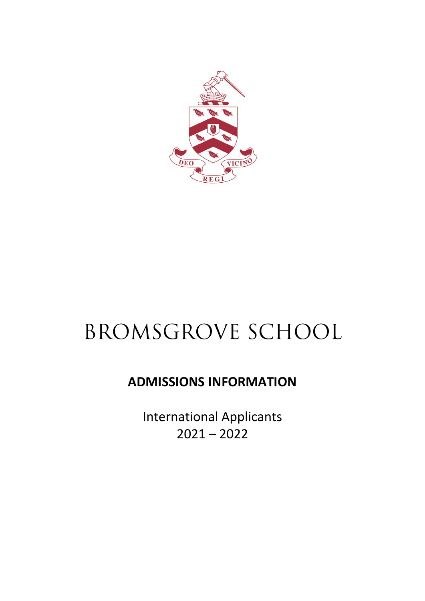

# BROMSGROVE SCHOOL

## **ADMISSIONS INFORMATION**

International Applicants 2021 – 2022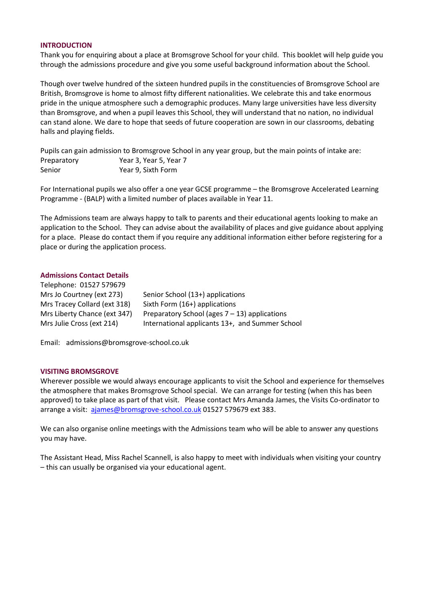#### **INTRODUCTION**

Thank you for enquiring about a place at Bromsgrove School for your child. This booklet will help guide you through the admissions procedure and give you some useful background information about the School.

Though over twelve hundred of the sixteen hundred pupils in the constituencies of Bromsgrove School are British, Bromsgrove is home to almost fifty different nationalities. We celebrate this and take enormous pride in the unique atmosphere such a demographic produces. Many large universities have less diversity than Bromsgrove, and when a pupil leaves this School, they will understand that no nation, no individual can stand alone. We dare to hope that seeds of future cooperation are sown in our classrooms, debating halls and playing fields.

Pupils can gain admission to Bromsgrove School in any year group, but the main points of intake are: Preparatory Year 3, Year 5, Year 7 Senior Year 9, Sixth Form

For International pupils we also offer a one year GCSE programme – the Bromsgrove Accelerated Learning Programme - (BALP) with a limited number of places available in Year 11.

The Admissions team are always happy to talk to parents and their educational agents looking to make an application to the School. They can advise about the availability of places and give guidance about applying for a place. Please do contact them if you require any additional information either before registering for a place or during the application process.

#### **Admissions Contact Details**

| Telephone: 01527 579679      |                                                  |
|------------------------------|--------------------------------------------------|
| Mrs Jo Courtney (ext 273)    | Senior School (13+) applications                 |
| Mrs Tracey Collard (ext 318) | Sixth Form (16+) applications                    |
| Mrs Liberty Chance (ext 347) | Preparatory School (ages $7 - 13$ ) applications |
| Mrs Julie Cross (ext 214)    | International applicants 13+, and Summer School  |
|                              |                                                  |

Email: admissions@bromsgrove-school.co.uk

#### **VISITING BROMSGROVE**

Wherever possible we would always encourage applicants to visit the School and experience for themselves the atmosphere that makes Bromsgrove School special. We can arrange for testing (when this has been approved) to take place as part of that visit. Please contact Mrs Amanda James, the Visits Co-ordinator to arrange a visit: [ajames@bromsgrove-school.co.uk](mailto:ajames@bromsgrove-school.co.uk) 01527 579679 ext 383.

We can also organise online meetings with the Admissions team who will be able to answer any questions you may have.

The Assistant Head, Miss Rachel Scannell, is also happy to meet with individuals when visiting your country – this can usually be organised via your educational agent.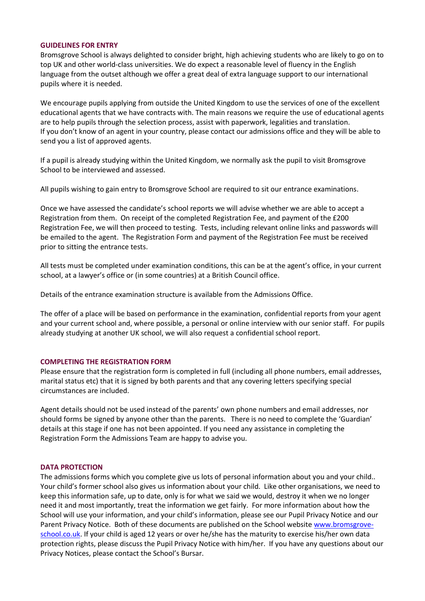#### **GUIDELINES FOR ENTRY**

Bromsgrove School is always delighted to consider bright, high achieving students who are likely to go on to top UK and other world-class universities. We do expect a reasonable level of fluency in the English language from the outset although we offer a great deal of extra language support to our international pupils where it is needed.

We encourage pupils applying from outside the United Kingdom to use the services of one of the excellent educational agents that we have contracts with. The main reasons we require the use of educational agents are to help pupils through the selection process, assist with paperwork, legalities and translation. If you don't know of an agent in your country, please contact our admissions office and they will be able to send you a list of approved agents.

If a pupil is already studying within the United Kingdom, we normally ask the pupil to visit Bromsgrove School to be interviewed and assessed.

All pupils wishing to gain entry to Bromsgrove School are required to sit our entrance examinations.

Once we have assessed the candidate's school reports we will advise whether we are able to accept a Registration from them. On receipt of the completed Registration Fee, and payment of the £200 Registration Fee, we will then proceed to testing. Tests, including relevant online links and passwords will be emailed to the agent. The Registration Form and payment of the Registration Fee must be received prior to sitting the entrance tests.

All tests must be completed under examination conditions, this can be at the agent's office, in your current school, at a lawyer's office or (in some countries) at a British Council office.

Details of the entrance examination structure is available from the Admissions Office.

The offer of a place will be based on performance in the examination, confidential reports from your agent and your current school and, where possible, a personal or online interview with our senior staff. For pupils already studying at another UK school, we will also request a confidential school report.

#### **COMPLETING THE REGISTRATION FORM**

Please ensure that the registration form is completed in full (including all phone numbers, email addresses, marital status etc) that it is signed by both parents and that any covering letters specifying special circumstances are included.

Agent details should not be used instead of the parents' own phone numbers and email addresses, nor should forms be signed by anyone other than the parents. There is no need to complete the 'Guardian' details at this stage if one has not been appointed. If you need any assistance in completing the Registration Form the Admissions Team are happy to advise you.

#### **DATA PROTECTION**

The admissions forms which you complete give us lots of personal information about you and your child.. Your child's former school also gives us information about your child. Like other organisations, we need to keep this information safe, up to date, only is for what we said we would, destroy it when we no longer need it and most importantly, treat the information we get fairly. For more information about how the School will use your information, and your child's information, please see our Pupil Privacy Notice and our Parent Privacy Notice. Both of these documents are published on the School website [www.bromsgrove](http://www.bromsgrove-school.co.uk/)[school.co.uk.](http://www.bromsgrove-school.co.uk/) If your child is aged 12 years or over he/she has the maturity to exercise his/her own data protection rights, please discuss the Pupil Privacy Notice with him/her. If you have any questions about our Privacy Notices, please contact the School's Bursar.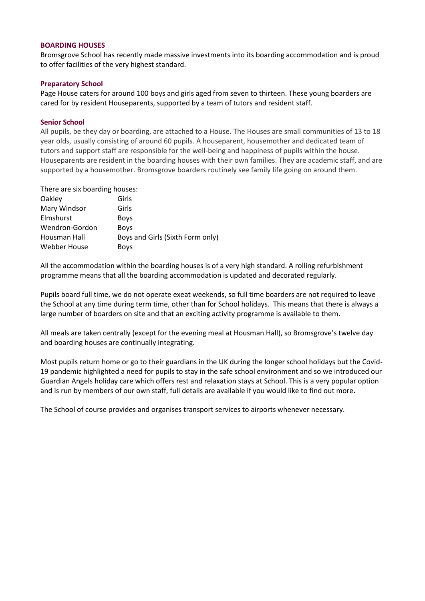#### **BOARDING HOUSES**

Bromsgrove School has recently made massive investments into its boarding accommodation and is proud to offer facilities of the very highest standard.

#### **Preparatory School**

Page House caters for around 100 boys and girls aged from seven to thirteen. These young boarders are cared for by resident Houseparents, supported by a team of tutors and resident staff.

#### **Senior School**

All pupils, be they day or boarding, are attached to a House. The Houses are small communities of 13 to 18 year olds, usually consisting of around 60 pupils. A houseparent, housemother and dedicated team of tutors and support staff are responsible for the well-being and happiness of pupils within the house. Houseparents are resident in the boarding houses with their own families. They are academic staff, and are supported by a housemother. Bromsgrove boarders routinely see family life going on around them.

| There are six boarding houses: |  |  |  |
|--------------------------------|--|--|--|
|--------------------------------|--|--|--|

| Girls                            |
|----------------------------------|
| Girls                            |
| <b>Boys</b>                      |
| <b>Boys</b>                      |
| Boys and Girls (Sixth Form only) |
| Boys                             |
|                                  |

All the accommodation within the boarding houses is of a very high standard. A rolling refurbishment programme means that all the boarding accommodation is updated and decorated regularly.

Pupils board full time, we do not operate exeat weekends, so full time boarders are not required to leave the School at any time during term time, other than for School holidays. This means that there is always a large number of boarders on site and that an exciting activity programme is available to them.

All meals are taken centrally (except for the evening meal at Housman Hall), so Bromsgrove's twelve day and boarding houses are continually integrating.

Most pupils return home or go to their guardians in the UK during the longer school holidays but the Covid-19 pandemic highlighted a need for pupils to stay in the safe school environment and so we introduced our Guardian Angels holiday care which offers rest and relaxation stays at School. This is a very popular option and is run by members of our own staff, full details are available if you would like to find out more.

The School of course provides and organises transport services to airports whenever necessary.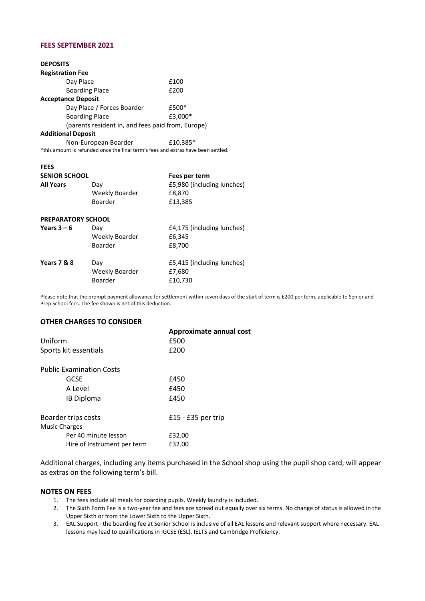#### **FEES SEPTEMBER 2021**

| <b>DEPOSITS</b>                                                                   |                                                   |                                      |  |  |
|-----------------------------------------------------------------------------------|---------------------------------------------------|--------------------------------------|--|--|
| <b>Registration Fee</b>                                                           |                                                   |                                      |  |  |
| Day Place                                                                         |                                                   | £100                                 |  |  |
| <b>Boarding Place</b>                                                             |                                                   | £200                                 |  |  |
| <b>Acceptance Deposit</b>                                                         |                                                   |                                      |  |  |
| Day Place / Forces Boarder                                                        |                                                   | £500*                                |  |  |
| <b>Boarding Place</b>                                                             |                                                   | £3,000*                              |  |  |
|                                                                                   | (parents resident in, and fees paid from, Europe) |                                      |  |  |
| <b>Additional Deposit</b>                                                         |                                                   |                                      |  |  |
| Non-European Boarder                                                              |                                                   | £10.385*                             |  |  |
| *this amount is refunded once the final term's fees and extras have been settled. |                                                   |                                      |  |  |
|                                                                                   |                                                   |                                      |  |  |
| <b>FEES</b>                                                                       |                                                   |                                      |  |  |
| <b>SENIOR SCHOOL</b>                                                              |                                                   | Fees per term                        |  |  |
|                                                                                   |                                                   |                                      |  |  |
| <b>All Years</b>                                                                  | Day                                               | £5,980 (including lunches)           |  |  |
|                                                                                   | Weekly Boarder                                    | £8,870                               |  |  |
|                                                                                   | Boarder                                           | £13,385                              |  |  |
| <b>PREPARATORY SCHOOL</b>                                                         |                                                   |                                      |  |  |
| Years $3 - 6$                                                                     | Day                                               |                                      |  |  |
|                                                                                   | Weekly Boarder                                    | £4,175 (including lunches)<br>£6,345 |  |  |
|                                                                                   | Boarder                                           | £8,700                               |  |  |
|                                                                                   |                                                   |                                      |  |  |
| Years 7 & 8                                                                       | Day                                               | £5,415 (including lunches)           |  |  |
|                                                                                   | Weekly Boarder<br>Boarder                         | £7,680<br>£10,730                    |  |  |

Please note that the prompt payment allowance for settlement within seven days of the start of term is £200 per term, applicable to Senior and Prep School fees. The fee shown is net of this deduction.

#### **OTHER CHARGES TO CONSIDER**

|                                 | Approximate annual cost |
|---------------------------------|-------------------------|
| Uniform                         | £500                    |
| Sports kit essentials           | £200                    |
| <b>Public Examination Costs</b> |                         |
| GCSE                            | £450                    |
| A Level                         | £450                    |
| <b>IB Diploma</b>               | £450                    |
| Boarder trips costs             | $£15 - £35$ per trip    |
| <b>Music Charges</b>            |                         |
| Per 40 minute lesson            | £32.00                  |
| Hire of Instrument per term     | £32.00                  |

Additional charges, including any items purchased in the School shop using the pupil shop card, will appear as extras on the following term's bill.

#### **NOTES ON FEES**

- 1. The fees include all meals for boarding pupils. Weekly laundry is included.
- 2. The Sixth Form Fee is a two-year fee and fees are spread out equally over six terms. No change of status is allowed in the Upper Sixth or from the Lower Sixth to the Upper Sixth.
- 3. EAL Support the boarding fee at Senior School is inclusive of all EAL lessons and relevant support where necessary. EAL lessons may lead to qualifications in IGCSE (ESL), IELTS and Cambridge Proficiency.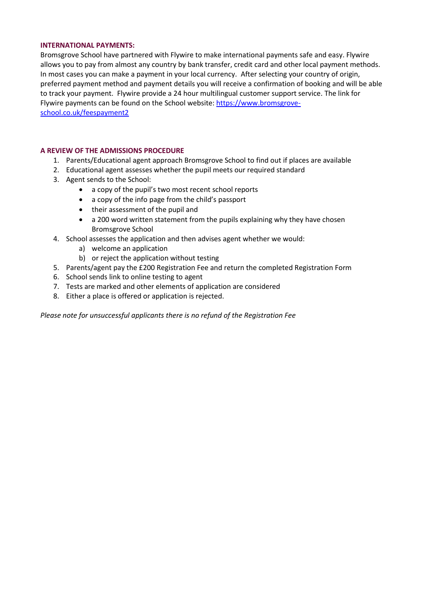#### **INTERNATIONAL PAYMENTS:**

Bromsgrove School have partnered with Flywire to make international payments safe and easy. Flywire allows you to pay from almost any country by bank transfer, credit card and other local payment methods. In most cases you can make a payment in your local currency. After selecting your country of origin, preferred payment method and payment details you will receive a confirmation of booking and will be able to track your payment. Flywire provide a 24 hour multilingual customer support service. The link for Flywire payments can be found on the School website: [https://www.bromsgrove](https://www.bromsgrove-school.co.uk/feespayment2)[school.co.uk/feespayment2](https://www.bromsgrove-school.co.uk/feespayment2)

#### **A REVIEW OF THE ADMISSIONS PROCEDURE**

- 1. Parents/Educational agent approach Bromsgrove School to find out if places are available
- 2. Educational agent assesses whether the pupil meets our required standard
- 3. Agent sends to the School:
	- a copy of the pupil's two most recent school reports
	- a copy of the info page from the child's passport
	- their assessment of the pupil and
	- a 200 word written statement from the pupils explaining why they have chosen Bromsgrove School
- 4. School assesses the application and then advises agent whether we would:
	- a) welcome an application
	- b) or reject the application without testing
- 5. Parents/agent pay the £200 Registration Fee and return the completed Registration Form
- 6. School sends link to online testing to agent
- 7. Tests are marked and other elements of application are considered
- 8. Either a place is offered or application is rejected.

*Please note for unsuccessful applicants there is no refund of the Registration Fee*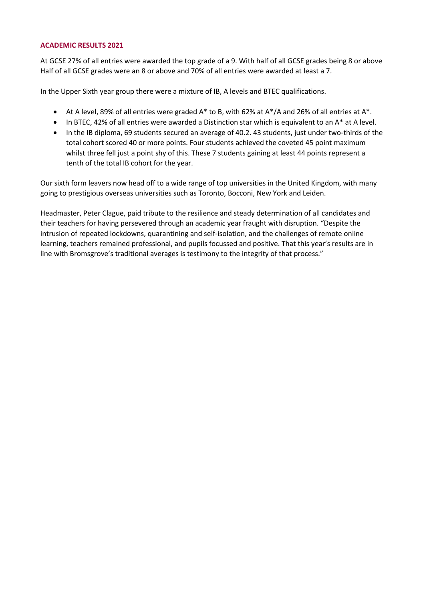#### **ACADEMIC RESULTS 2021**

At GCSE 27% of all entries were awarded the top grade of a 9. With half of all GCSE grades being 8 or above Half of all GCSE grades were an 8 or above and 70% of all entries were awarded at least a 7.

In the Upper Sixth year group there were a mixture of IB, A levels and BTEC qualifications.

- At A level, 89% of all entries were graded A\* to B, with 62% at A\*/A and 26% of all entries at A\*.
- In BTEC, 42% of all entries were awarded a Distinction star which is equivalent to an A\* at A level.
- In the IB diploma, 69 students secured an average of 40.2. 43 students, just under two-thirds of the total cohort scored 40 or more points. Four students achieved the coveted 45 point maximum whilst three fell just a point shy of this. These 7 students gaining at least 44 points represent a tenth of the total IB cohort for the year.

Our sixth form leavers now head off to a wide range of top universities in the United Kingdom, with many going to prestigious overseas universities such as Toronto, Bocconi, New York and Leiden.

Headmaster, Peter Clague, paid tribute to the resilience and steady determination of all candidates and their teachers for having persevered through an academic year fraught with disruption. "Despite the intrusion of repeated lockdowns, quarantining and self-isolation, and the challenges of remote online learning, teachers remained professional, and pupils focussed and positive. That this year's results are in line with Bromsgrove's traditional averages is testimony to the integrity of that process."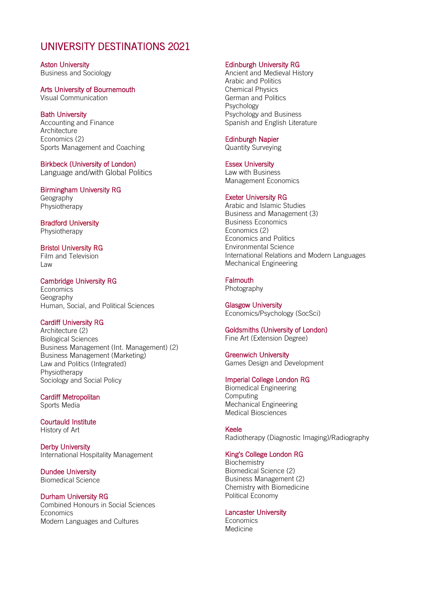### UNIVERSITY DESTINATIONS 2021

Aston University Business and Sociology

Arts University of Bournemouth

Visual Communication

#### Bath University

Accounting and Finance **Architecture** Economics (2) Sports Management and Coaching

Birkbeck (University of London) Language and/with Global Politics

Birmingham University RG Geography Physiotherapy

Bradford University Physiotherapy

Bristol University RG Film and Television Law

#### Cambridge University RG

**Economics** Geography Human, Social, and Political Sciences

#### Cardiff University RG

Architecture (2) Biological Sciences Business Management (Int. Management) (2) Business Management (Marketing) Law and Politics (Integrated) Physiotherapy Sociology and Social Policy

Cardiff Metropolitan Sports Media

Courtauld Institute History of Art

Derby University International Hospitality Management

Dundee University Biomedical Science

#### Durham University RG

Combined Honours in Social Sciences **Economics** Modern Languages and Cultures

#### Edinburgh University RG

Ancient and Medieval History Arabic and Politics Chemical Physics German and Politics Psychology Psychology and Business Spanish and English Literature

#### Edinburgh Napier

Quantity Surveying

#### Essex University

Law with Business Management Economics

#### Exeter University RG

Arabic and Islamic Studies Business and Management (3) Business Economics Economics (2) Economics and Politics Environmental Science International Relations and Modern Languages Mechanical Engineering

#### **Falmouth**

Photography

Glasgow University Economics/Psychology (SocSci)

Goldsmiths (University of London) Fine Art (Extension Degree)

Greenwich University Games Design and Development

#### Imperial College London RG

Biomedical Engineering Computing Mechanical Engineering Medical Biosciences

Keele Radiotherapy (Diagnostic Imaging)/Radiography

#### King's College London RG

**Biochemistry** Biomedical Science (2) Business Management (2) Chemistry with Biomedicine Political Economy

#### Lancaster University

**Economics** Medicine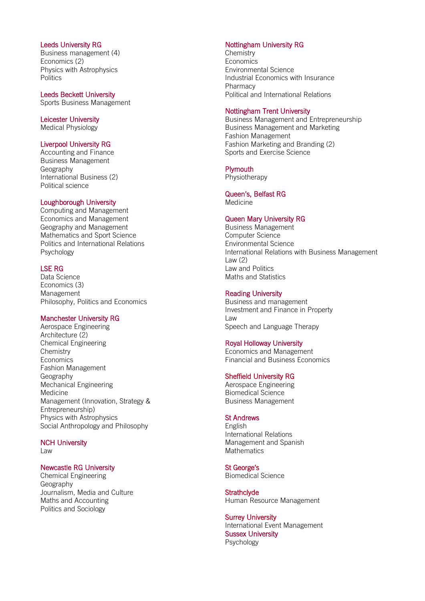#### Leeds University RG

Business management (4) Economics (2) Physics with Astrophysics **Politics** 

## Leeds Beckett University

Sports Business Management

#### Leicester University Medical Physiology

#### Liverpool University RG

Accounting and Finance Business Management Geography International Business (2) Political science

#### Loughborough University

Computing and Management Economics and Management Geography and Management Mathematics and Sport Science Politics and International Relations Psychology

#### LSE RG

Data Science Economics (3) Management Philosophy, Politics and Economics

#### Manchester University RG

Aerospace Engineering Architecture (2) Chemical Engineering **Chemistry** Economics Fashion Management Geography Mechanical Engineering Medicine Management (Innovation, Strategy & Entrepreneurship) Physics with Astrophysics Social Anthropology and Philosophy

### NCH University

Law

#### Newcastle RG University

Chemical Engineering Geography Journalism, Media and Culture Maths and Accounting Politics and Sociology

#### Nottingham University RG

**Chemistry Economics** Environmental Science Industrial Economics with Insurance Pharmacy Political and International Relations

#### Nottingham Trent University

Business Management and Entrepreneurship Business Management and Marketing Fashion Management Fashion Marketing and Branding (2) Sports and Exercise Science

#### **Plymouth**

**Physiotherapy** 

#### Queen's, Belfast RG Medicine

#### Queen Mary University RG

Business Management Computer Science Environmental Science International Relations with Business Management Law (2) Law and Politics Maths and Statistics

#### Reading University

Business and management Investment and Finance in Property Law Speech and Language Therapy

#### Royal Holloway University

Economics and Management Financial and Business Economics

#### Sheffield University RG

Aerospace Engineering Biomedical Science Business Management

#### St Andrews

English International Relations Management and Spanish **Mathematics** 

St George's Biomedical Science

**Strathclyde** Human Resource Management

Surrey University International Event Management Sussex University Psychology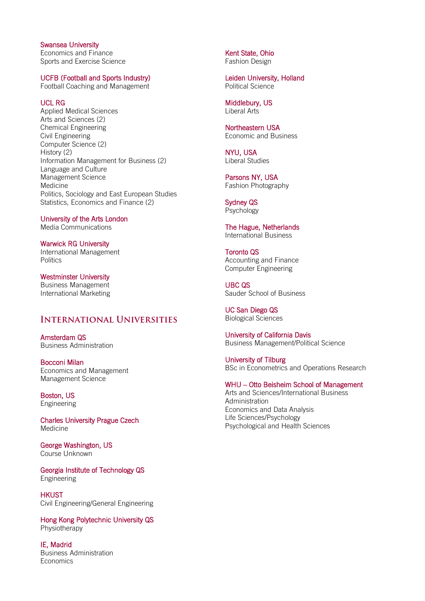Swansea University Economics and Finance Sports and Exercise Science

#### UCFB (Football and Sports Industry)

Football Coaching and Management

#### UCL RG

Applied Medical Sciences Arts and Sciences (2) Chemical Engineering Civil Engineering Computer Science (2) History (2) Information Management for Business (2) Language and Culture Management Science Medicine Politics, Sociology and East European Studies Statistics, Economics and Finance (2)

University of the Arts London Media Communications

Warwick RG University International Management **Politics** 

Westminster University Business Management International Marketing

#### **INTERNATIONAL UNIVERSITIES**

Amsterdam QS Business Administration

Bocconi Milan Economics and Management Management Science

Boston, US Engineering

Charles University Prague Czech Medicine

George Washington, US Course Unknown

Georgia Institute of Technology QS Engineering

**HKUST** Civil Engineering/General Engineering

Hong Kong Polytechnic University QS Physiotherapy

IE, Madrid Business Administration Economics

Kent State, Ohio Fashion Design

Leiden University, Holland Political Science

Middlebury, US Liberal Arts

Northeastern USA Economic and Business

NYU, USA Liberal Studies

Parsons NY, USA Fashion Photography

Sydney QS Psychology

The Hague, Netherlands International Business

Toronto QS Accounting and Finance Computer Engineering

UBC QS Sauder School of Business

UC San Diego QS Biological Sciences

University of California Davis Business Management/Political Science

University of Tilburg BSc in Econometrics and Operations Research

#### WHU – Otto Beisheim School of Management

Arts and Sciences/International Business Administration Economics and Data Analysis Life Sciences/Psychology Psychological and Health Sciences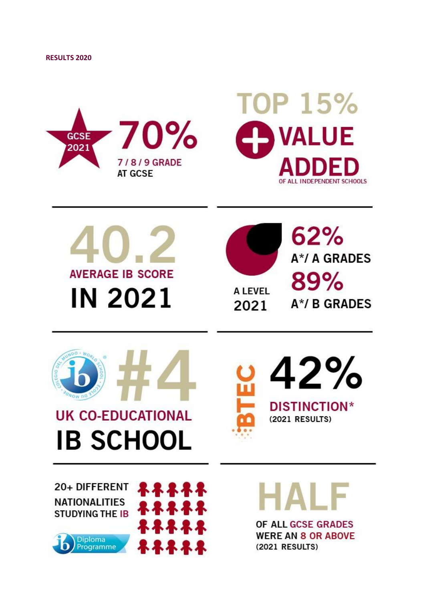







 $62%$ A\*/ A GRADES 89% A\*/ B GRADES



## **UK CO-EDUCATIONAL IB SCHOOL**



20+ DIFFERENT **NATIONALITIES STUDYING THE IB** 





OF ALL GCSE GRADES **WERE AN 8 OR ABOVE** 

(2021 RESULTS)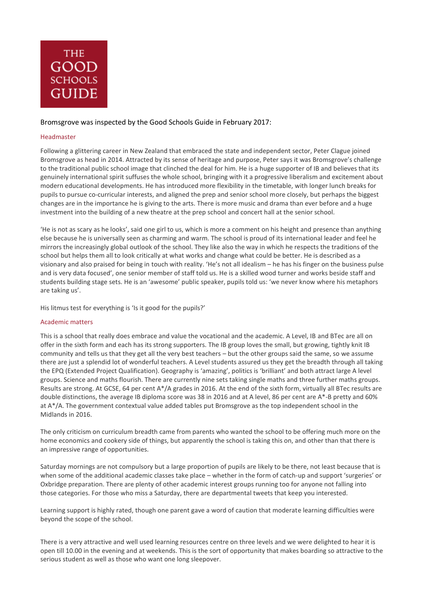

#### Bromsgrove was inspected by the Good Schools Guide in February 2017:

#### Headmaster

Following a glittering career in New Zealand that embraced the state and independent sector, Peter Clague joined Bromsgrove as head in 2014. Attracted by its sense of heritage and purpose, Peter says it was Bromsgrove's challenge to the traditional public school image that clinched the deal for him. He is a huge supporter of IB and believes that its genuinely international spirit suffuses the whole school, bringing with it a progressive liberalism and excitement about modern educational developments. He has introduced more flexibility in the timetable, with longer lunch breaks for pupils to pursue co-curricular interests, and aligned the prep and senior school more closely, but perhaps the biggest changes are in the importance he is giving to the arts. There is more music and drama than ever before and a huge investment into the building of a new theatre at the prep school and concert hall at the senior school.

'He is not as scary as he looks', said one girl to us, which is more a comment on his height and presence than anything else because he is universally seen as charming and warm. The school is proud of its international leader and feel he mirrors the increasingly global outlook of the school. They like also the way in which he respects the traditions of the school but helps them all to look critically at what works and change what could be better. He is described as a visionary and also praised for being in touch with reality. 'He's not all idealism – he has his finger on the business pulse and is very data focused', one senior member of staff told us. He is a skilled wood turner and works beside staff and students building stage sets. He is an 'awesome' public speaker, pupils told us: 'we never know where his metaphors are taking us'.

His litmus test for everything is 'Is it good for the pupils?'

#### Academic matters

This is a school that really does embrace and value the vocational and the academic. A Level, IB and BTec are all on offer in the sixth form and each has its strong supporters. The IB group loves the small, but growing, tightly knit IB community and tells us that they get all the very best teachers – but the other groups said the same, so we assume there are just a splendid lot of wonderful teachers. A Level students assured us they get the breadth through all taking the EPQ (Extended Project Qualification). Geography is 'amazing', politics is 'brilliant' and both attract large A level groups. Science and maths flourish. There are currently nine sets taking single maths and three further maths groups. Results are strong. At GCSE, 64 per cent A\*/A grades in 2016. At the end of the sixth form, virtually all BTec results are double distinctions, the average IB diploma score was 38 in 2016 and at A level, 86 per cent are A\*-B pretty and 60% at A\*/A. The government contextual value added tables put Bromsgrove as the top independent school in the Midlands in 2016.

The only criticism on curriculum breadth came from parents who wanted the school to be offering much more on the home economics and cookery side of things, but apparently the school is taking this on, and other than that there is an impressive range of opportunities.

Saturday mornings are not compulsory but a large proportion of pupils are likely to be there, not least because that is when some of the additional academic classes take place – whether in the form of catch-up and support 'surgeries' or Oxbridge preparation. There are plenty of other academic interest groups running too for anyone not falling into those categories. For those who miss a Saturday, there are departmental tweets that keep you interested.

Learning support is highly rated, though one parent gave a word of caution that moderate learning difficulties were beyond the scope of the school.

There is a very attractive and well used learning resources centre on three levels and we were delighted to hear it is open till 10.00 in the evening and at weekends. This is the sort of opportunity that makes boarding so attractive to the serious student as well as those who want one long sleepover.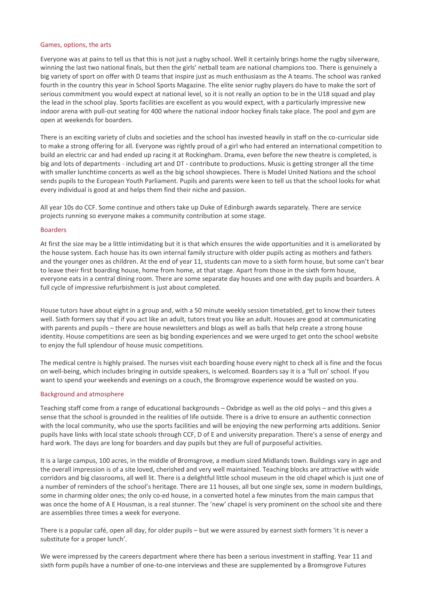#### Games, options, the arts

Everyone was at pains to tell us that this is not just a rugby school. Well it certainly brings home the rugby silverware, winning the last two national finals, but then the girls' netball team are national champions too. There is genuinely a big variety of sport on offer with D teams that inspire just as much enthusiasm as the A teams. The school was ranked fourth in the country this year in School Sports Magazine. The elite senior rugby players do have to make the sort of serious commitment you would expect at national level, so it is not really an option to be in the U18 squad and play the lead in the school play. Sports facilities are excellent as you would expect, with a particularly impressive new indoor arena with pull-out seating for 400 where the national indoor hockey finals take place. The pool and gym are open at weekends for boarders.

There is an exciting variety of clubs and societies and the school has invested heavily in staff on the co-curricular side to make a strong offering for all. Everyone was rightly proud of a girl who had entered an international competition to build an electric car and had ended up racing it at Rockingham. Drama, even before the new theatre is completed, is big and lots of departments - including art and DT - contribute to productions. Music is getting stronger all the time with smaller lunchtime concerts as well as the big school showpieces. There is Model United Nations and the school sends pupils to the European Youth Parliament. Pupils and parents were keen to tell us that the school looks for what every individual is good at and helps them find their niche and passion.

All year 10s do CCF. Some continue and others take up Duke of Edinburgh awards separately. There are service projects running so everyone makes a community contribution at some stage.

#### Boarders

At first the size may be a little intimidating but it is that which ensures the wide opportunities and it is ameliorated by the house system. Each house has its own internal family structure with older pupils acting as mothers and fathers and the younger ones as children. At the end of year 11, students can move to a sixth form house, but some can't bear to leave their first boarding house, home from home, at that stage. Apart from those in the sixth form house, everyone eats in a central dining room. There are some separate day houses and one with day pupils and boarders. A full cycle of impressive refurbishment is just about completed.

House tutors have about eight in a group and, with a 50 minute weekly session timetabled, get to know their tutees well. Sixth formers say that if you act like an adult, tutors treat you like an adult. Houses are good at communicating with parents and pupils – there are house newsletters and blogs as well as balls that help create a strong house identity. House competitions are seen as big bonding experiences and we were urged to get onto the school website to enjoy the full splendour of house music competitions.

The medical centre is highly praised. The nurses visit each boarding house every night to check all is fine and the focus on well-being, which includes bringing in outside speakers, is welcomed. Boarders say it is a 'full on' school. If you want to spend your weekends and evenings on a couch, the Bromsgrove experience would be wasted on you.

#### Background and atmosphere

Teaching staff come from a range of educational backgrounds – Oxbridge as well as the old polys – and this gives a sense that the school is grounded in the realities of life outside. There is a drive to ensure an authentic connection with the local community, who use the sports facilities and will be enjoying the new performing arts additions. Senior pupils have links with local state schools through CCF, D of E and university preparation. There's a sense of energy and hard work. The days are long for boarders and day pupils but they are full of purposeful activities.

It is a large campus, 100 acres, in the middle of Bromsgrove, a medium sized Midlands town. Buildings vary in age and the overall impression is of a site loved, cherished and very well maintained. Teaching blocks are attractive with wide corridors and big classrooms, all well lit. There is a delightful little school museum in the old chapel which is just one of a number of reminders of the school's heritage. There are 11 houses, all but one single sex, some in modern buildings, some in charming older ones; the only co-ed house, in a converted hotel a few minutes from the main campus that was once the home of A E Housman, is a real stunner. The 'new' chapel is very prominent on the school site and there are assemblies three times a week for everyone.

There is a popular café, open all day, for older pupils – but we were assured by earnest sixth formers 'it is never a substitute for a proper lunch'.

We were impressed by the careers department where there has been a serious investment in staffing. Year 11 and sixth form pupils have a number of one-to-one interviews and these are supplemented by a Bromsgrove Futures